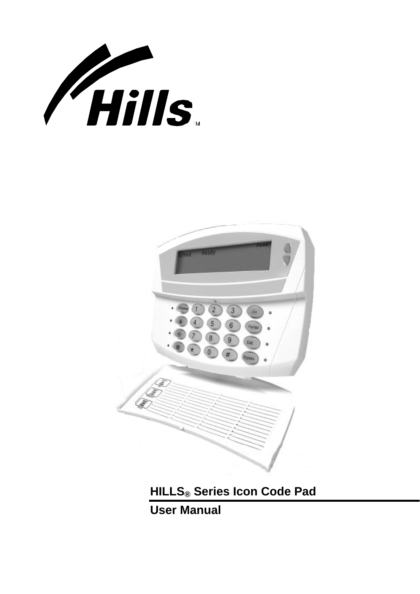



**HILLS® Series Icon Code Pad** 

**User Manual**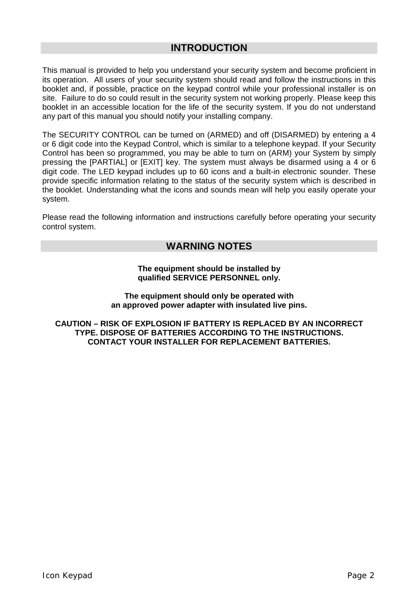## **INTRODUCTION**

<span id="page-1-0"></span>This manual is provided to help you understand your security system and become proficient in its operation. All users of your security system should read and follow the instructions in this booklet and, if possible, practice on the keypad control while your professional installer is on site. Failure to do so could result in the security system not working properly. Please keep this booklet in an accessible location for the life of the security system. If you do not understand any part of this manual you should notify your installing company.

The SECURITY CONTROL can be turned on (ARMED) and off (DISARMED) by entering a 4 or 6 digit code into the Keypad Control, which is similar to a telephone keypad. If your Security Control has been so programmed, you may be able to turn on (ARM) your System by simply pressing the [PARTIAL] or [EXIT] key. The system must always be disarmed using a 4 or 6 digit code. The LED keypad includes up to 60 icons and a built-in electronic sounder. These provide specific information relating to the status of the security system which is described in the booklet. Understanding what the icons and sounds mean will help you easily operate your system.

Please read the following information and instructions carefully before operating your security control system.

## **WARNING NOTES**

#### **The equipment should be installed by qualified SERVICE PERSONNEL only.**

**The equipment should only be operated with an approved power adapter with insulated live pins.** 

**CAUTION – RISK OF EXPLOSION IF BATTERY IS REPLACED BY AN INCORRECT TYPE. DISPOSE OF BATTERIES ACCORDING TO THE INSTRUCTIONS. CONTACT YOUR INSTALLER FOR REPLACEMENT BATTERIES.**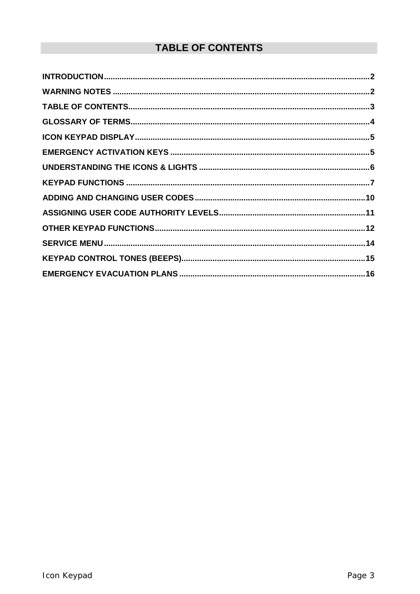# **TABLE OF CONTENTS**

<span id="page-2-0"></span>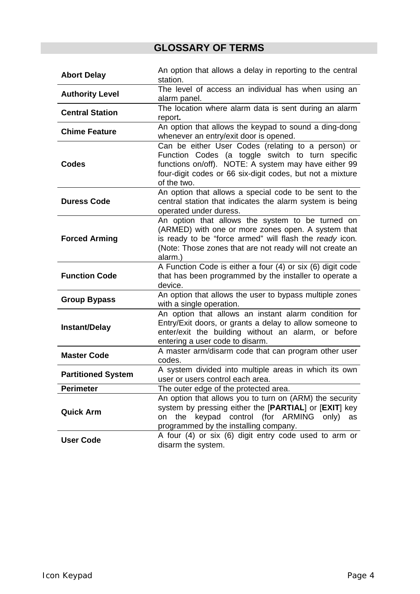# **GLOSSARY OF TERMS**

<span id="page-3-0"></span>

| <b>Abort Delay</b>                                                                                                                                                                                                                | An option that allows a delay in reporting to the central<br>station.                                                                                                                                                                      |  |  |
|-----------------------------------------------------------------------------------------------------------------------------------------------------------------------------------------------------------------------------------|--------------------------------------------------------------------------------------------------------------------------------------------------------------------------------------------------------------------------------------------|--|--|
| <b>Authority Level</b>                                                                                                                                                                                                            | The level of access an individual has when using an<br>alarm panel.                                                                                                                                                                        |  |  |
| <b>Central Station</b>                                                                                                                                                                                                            | The location where alarm data is sent during an alarm<br>report.                                                                                                                                                                           |  |  |
| <b>Chime Feature</b>                                                                                                                                                                                                              | An option that allows the keypad to sound a ding-dong<br>whenever an entry/exit door is opened.                                                                                                                                            |  |  |
| Codes                                                                                                                                                                                                                             | Can be either User Codes (relating to a person) or<br>Function Codes (a toggle switch to turn specific<br>functions on/off). NOTE: A system may have either 99<br>four-digit codes or 66 six-digit codes, but not a mixture<br>of the two. |  |  |
| <b>Duress Code</b>                                                                                                                                                                                                                | An option that allows a special code to be sent to the<br>central station that indicates the alarm system is being<br>operated under duress.                                                                                               |  |  |
| <b>Forced Arming</b>                                                                                                                                                                                                              | An option that allows the system to be turned on<br>(ARMED) with one or more zones open. A system that<br>is ready to be "force armed" will flash the ready icon.<br>(Note: Those zones that are not ready will not create an<br>alarm.)   |  |  |
| A Function Code is either a four (4) or six (6) digit code<br>that has been programmed by the installer to operate a<br><b>Function Code</b><br>device.                                                                           |                                                                                                                                                                                                                                            |  |  |
| An option that allows the user to bypass multiple zones<br><b>Group Bypass</b><br>with a single operation.                                                                                                                        |                                                                                                                                                                                                                                            |  |  |
| An option that allows an instant alarm condition for<br>Entry/Exit doors, or grants a delay to allow someone to<br><b>Instant/Delay</b><br>enter/exit the building without an alarm, or before<br>entering a user code to disarm. |                                                                                                                                                                                                                                            |  |  |
| <b>Master Code</b>                                                                                                                                                                                                                | A master arm/disarm code that can program other user<br>codes.                                                                                                                                                                             |  |  |
| A system divided into multiple areas in which its own<br><b>Partitioned System</b><br>user or users control each area.                                                                                                            |                                                                                                                                                                                                                                            |  |  |
| <b>Perimeter</b>                                                                                                                                                                                                                  | The outer edge of the protected area.                                                                                                                                                                                                      |  |  |
| <b>Quick Arm</b>                                                                                                                                                                                                                  | An option that allows you to turn on (ARM) the security<br>system by pressing either the [PARTIAL] or [EXIT] key<br>keypad control (for ARMING only)<br>the<br>on<br>as<br>programmed by the installing company.                           |  |  |
| <b>User Code</b>                                                                                                                                                                                                                  | A four (4) or six (6) digit entry code used to arm or<br>disarm the system.                                                                                                                                                                |  |  |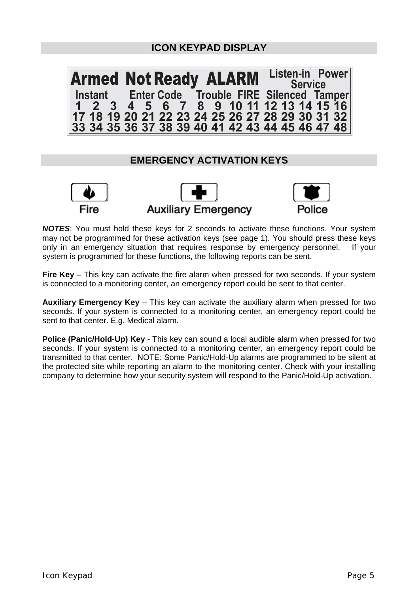## **ICON KEYPAD DISPLAY**

<span id="page-4-0"></span>Armed Not Ready **ALARM** Listen-in **Instant FIRE Enter Code Trouble Silenced Tamper <sup>123456789</sup> <sup>10</sup> <sup>11</sup> <sup>12</sup> <sup>13</sup> <sup>14</sup> <sup>15</sup> <sup>16</sup> Listen-in Power Service 17 18 19 20 21 22 23 24 25 26 27 28 29 30 31 32 33 34 35 36 37 38 39 40 41 42 43 44 45 46 47 48**

## **EMERGENCY ACTIVATION KEYS**







*NOTES*: You must hold these keys for 2 seconds to activate these functions. Your system may not be programmed for these activation keys (see page 1). You should press these keys only in an emergency situation that requires response by emergency personnel. If your system is programmed for these functions, the following reports can be sent.

**Fire Key** – This key can activate the fire alarm when pressed for two seconds. If your system is connected to a monitoring center, an emergency report could be sent to that center.

**Auxiliary Emergency Key** – This key can activate the auxiliary alarm when pressed for two seconds. If your system is connected to a monitoring center, an emergency report could be sent to that center. E.g. Medical alarm.

**Police (Panic/Hold-Up) Key** - This key can sound a local audible alarm when pressed for two seconds. If your system is connected to a monitoring center, an emergency report could be transmitted to that center. NOTE: Some Panic/Hold-Up alarms are programmed to be silent at the protected site while reporting an alarm to the monitoring center. Check with your installing company to determine how your security system will respond to the Panic/Hold-Up activation.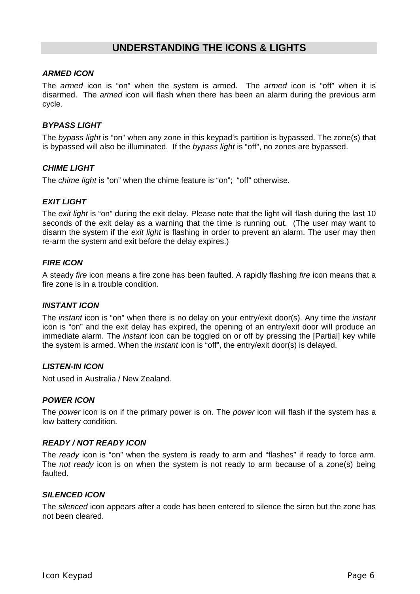## **UNDERSTANDING THE ICONS & LIGHTS**

### <span id="page-5-0"></span>*ARMED ICON*

The *armed* icon is "on" when the system is armed. The *armed* icon is "off" when it is disarmed. The *armed* icon will flash when there has been an alarm during the previous arm cycle.

### *BYPASS LIGHT*

The *bypass light* is "on" when any zone in this keypad's partition is bypassed. The zone(s) that is bypassed will also be illuminated. If the *bypass light* is "off", no zones are bypassed.

#### *CHIME LIGHT*

The c*hime light* is "on" when the chime feature is "on"; "off" otherwise.

### *EXIT LIGHT*

The *exit light* is "on" during the exit delay. Please note that the light will flash during the last 10 seconds of the exit delay as a warning that the time is running out. (The user may want to disarm the system if the *exit light* is flashing in order to prevent an alarm. The user may then re-arm the system and exit before the delay expires.)

#### **FIRE ICON**

A steady *fire* icon means a fire zone has been faulted. A rapidly flashing *fire* icon means that a fire zone is in a trouble condition.

#### *INSTANT ICON*

The *instant* icon is "on" when there is no delay on your entry/exit door(s). Any time the *instant* icon is "on" and the exit delay has expired, the opening of an entry/exit door will produce an immediate alarm. The *instant* icon can be toggled on or off by pressing the [Partial] key while the system is armed. When the *instant* icon is "off", the entry/exit door(s) is delayed.

### *LISTEN-IN ICON*

Not used in Australia / New Zealand.

#### *POWER ICON*

The *power* icon is on if the primary power is on. The *power* icon will flash if the system has a low battery condition.

#### *READY / NOT READY ICON*

The *ready* icon is "on" when the system is ready to arm and "flashes" if ready to force arm. The *not ready* icon is on when the system is not ready to arm because of a zone(s) being faulted.

#### *SILENCED ICON*

The s*ilenced* icon appears after a code has been entered to silence the siren but the zone has not been cleared.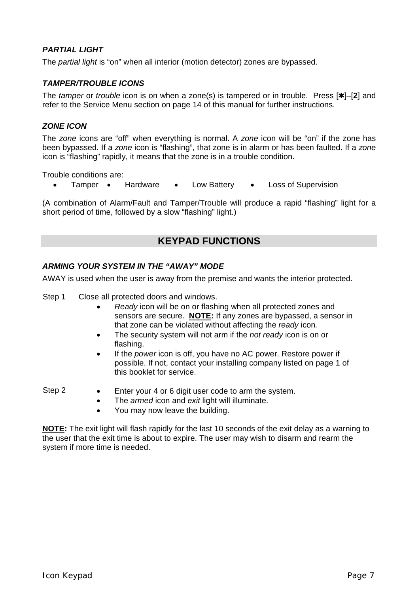## <span id="page-6-0"></span>*PARTIAL LIGHT*

The *partial light* is "on" when all interior (motion detector) zones are bypassed.

### *TAMPER/TROUBLE ICONS*

The *tamper* or *trouble* icon is on when a zone(s) is tampered or in trouble. Press [ $\star$ ]–[2] and refer to the Service Menu section on page 14 of this manual for further instructions.

### *ZONE ICON*

The *zone* icons are "off" when everything is normal. A *zone* icon will be "on" if the zone has been bypassed. If a *zone* icon is "flashing", that zone is in alarm or has been faulted. If a *zone* icon is "flashing" rapidly, it means that the zone is in a trouble condition.

Trouble conditions are:

• Tamper • Hardware • Low Battery • Loss of Supervision

(A combination of Alarm/Fault and Tamper/Trouble will produce a rapid "flashing" light for a short period of time, followed by a slow "flashing" light.)

## **KEYPAD FUNCTIONS**

#### *ARMING YOUR SYSTEM IN THE "AWAY" MODE*

AWAY is used when the user is away from the premise and wants the interior protected.

- Step 1 Close all protected doors and windows.
	- *Ready* icon will be on or flashing when all protected zones and sensors are secure. **NOTE:** If any zones are bypassed, a sensor in that zone can be violated without affecting the *ready* icon*.*
	- The security system will not arm if the *not ready* icon is on or flashing.
	- If the *power* icon is off, you have no AC power. Restore power if possible. If not, contact your installing company listed on page 1 of this booklet for service.

- Step 2 Enter your 4 or 6 digit user code to arm the system.
	- The *armed* icon and *exit* light will illuminate.
	- You may now leave the building.

**NOTE:** The exit light will flash rapidly for the last 10 seconds of the exit delay as a warning to the user that the exit time is about to expire. The user may wish to disarm and rearm the system if more time is needed.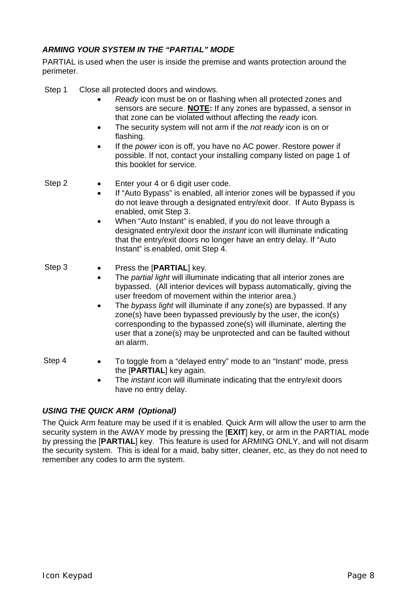## *ARMING YOUR SYSTEM IN THE "PARTIAL" MODE*

PARTIAL is used when the user is inside the premise and wants protection around the perimeter.

- Step 1 Close all protected doors and windows.
	- *Ready* icon must be on or flashing when all protected zones and sensors are secure. **NOTE:** If any zones are bypassed, a sensor in that zone can be violated without affecting the *ready* icon*.*
	- The security system will not arm if the *not ready* icon is on or flashing.
	- If the *power* icon is off, you have no AC power. Restore power if possible. If not, contact your installing company listed on page 1 of this booklet for service.

- Step 2 Enter your 4 or 6 digit user code.
	- If "Auto Bypass" is enabled, all interior zones will be bypassed if you do not leave through a designated entry/exit door. If Auto Bypass is enabled, omit Step 3.
	- When "Auto Instant" is enabled, if you do not leave through a designated entry/exit door the *instant* icon will illuminate indicating that the entry/exit doors no longer have an entry delay. If "Auto Instant" is enabled, omit Step 4.

### Step 3 • Press the [**PARTIAL**] key.

- The *partial light* will illuminate indicating that all interior zones are bypassed. (All interior devices will bypass automatically, giving the user freedom of movement within the interior area.)
- The *bypass light* will illuminate if any zone(s) are bypassed. If any zone(s) have been bypassed previously by the user, the icon(s) corresponding to the bypassed zone(s) will illuminate, alerting the user that a zone(s) may be unprotected and can be faulted without an alarm.
- 
- Step 4 To toggle from a "delayed entry" mode to an "Instant" mode, press the [**PARTIAL**] key again.
	- The *instant* icon will illuminate indicating that the entry/exit doors have no entry delay.

## *USING THE QUICK ARM (Optional)*

The Quick Arm feature may be used if it is enabled. Quick Arm will allow the user to arm the security system in the AWAY mode by pressing the [**EXIT**] key, or arm in the PARTIAL mode by pressing the [**PARTIAL**] key. This feature is used for ARMING ONLY, and will not disarm the security system. This is ideal for a maid, baby sitter, cleaner, etc, as they do not need to remember any codes to arm the system.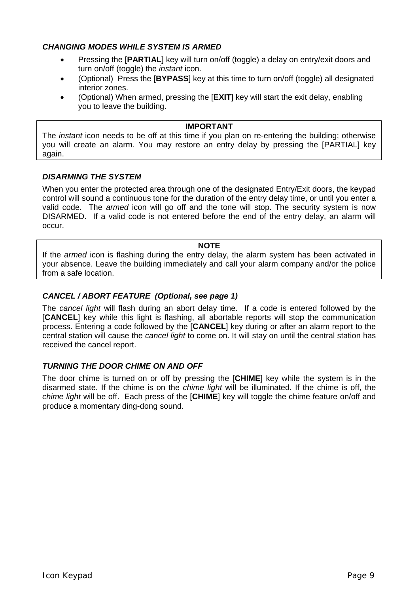## *CHANGING MODES WHILE SYSTEM IS ARMED*

- Pressing the [**PARTIAL**] key will turn on/off (toggle) a delay on entry/exit doors and turn on/off (toggle) the *instant* icon.
- (Optional) Press the [**BYPASS**] key at this time to turn on/off (toggle) all designated interior zones.
- (Optional) When armed, pressing the [**EXIT**] key will start the exit delay, enabling you to leave the building.

#### **IMPORTANT**

The *instant* icon needs to be off at this time if you plan on re-entering the building; otherwise you will create an alarm. You may restore an entry delay by pressing the [PARTIAL] key again.

### *DISARMING THE SYSTEM*

When you enter the protected area through one of the designated Entry/Exit doors, the keypad control will sound a continuous tone for the duration of the entry delay time, or until you enter a valid code. The *armed* icon will go off and the tone will stop. The security system is now DISARMED. If a valid code is not entered before the end of the entry delay, an alarm will occur.

## **NOTE**

If the *armed* icon is flashing during the entry delay, the alarm system has been activated in your absence. Leave the building immediately and call your alarm company and/or the police from a safe location.

### *CANCEL / ABORT FEATURE (Optional, see page 1)*

The *cancel light* will flash during an abort delay time. If a code is entered followed by the [**CANCEL**] key while this light is flashing, all abortable reports will stop the communication process. Entering a code followed by the [**CANCEL**] key during or after an alarm report to the central station will cause the *cancel light* to come on. It will stay on until the central station has received the cancel report.

#### *TURNING THE DOOR CHIME ON AND OFF*

The door chime is turned on or off by pressing the [**CHIME**] key while the system is in the disarmed state. If the chime is on the *chime light* will be illuminated. If the chime is off, the *chime light* will be off. Each press of the [**CHIME**] key will toggle the chime feature on/off and produce a momentary ding-dong sound.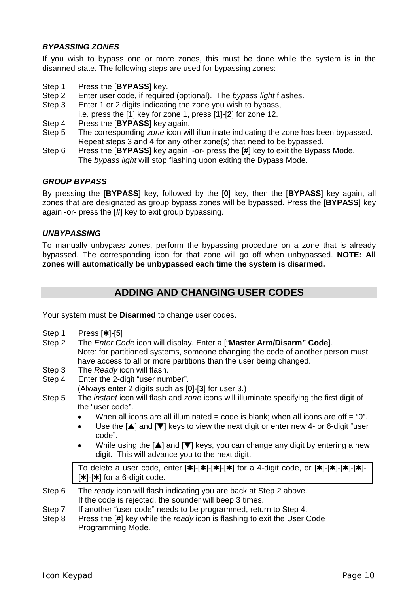### <span id="page-9-0"></span>*BYPASSING ZONES*

If you wish to bypass one or more zones, this must be done while the system is in the disarmed state. The following steps are used for bypassing zones:

- Step 1 Press the [**BYPASS**] key.
- Step 2 Enter user code, if required (optional). The *bypass light* flashes.
- Step 3 Enter 1 or 2 digits indicating the zone you wish to bypass,
	- i.e. press the [**1**] key for zone 1, press [**1**]-[**2**] for zone 12.
- Step 4 Press the [**BYPASS**] key again.
- Step 5 The corresponding *zone* icon will illuminate indicating the zone has been bypassed. Repeat steps 3 and 4 for any other zone(s) that need to be bypassed.
- Step 6 Press the [**BYPASS**] key again -or- press the [**#**] key to exit the Bypass Mode. The *bypass light* will stop flashing upon exiting the Bypass Mode.

## *GROUP BYPASS*

By pressing the [**BYPASS**] key, followed by the [**0**] key, then the [**BYPASS**] key again, all zones that are designated as group bypass zones will be bypassed. Press the [**BYPASS**] key again -or- press the [**#**] key to exit group bypassing.

#### *UNBYPASSING*

To manually unbypass zones, perform the bypassing procedure on a zone that is already bypassed. The corresponding icon for that zone will go off when unbypassed. **NOTE: All zones will automatically be unbypassed each time the system is disarmed.** 

## **ADDING AND CHANGING USER CODES**

Your system must be **Disarmed** to change user codes.

- Step 1 Press [**\***]-[**5**]
- Step 2 The *Enter Code* icon will display. Enter a ["**Master Arm/Disarm" Code**]. Note: for partitioned systems, someone changing the code of another person must have access to all or more partitions than the user being changed.
- Step 3 The *Ready* icon will flash.
- Step 4 Enter the 2-digit "user number". (Always enter 2 digits such as [**0**]-[**3**] for user 3.)
- Step 5 The *instant* icon will flash and *zone* icons will illuminate specifying the first digit of the "user code".
	- When all icons are all illuminated = code is blank; when all icons are off = "0".
	- Use the  $[\triangle]$  and  $[\nabla]$  keys to view the next digit or enter new 4- or 6-digit "user code".
	- While using the  $[\triangle]$  and  $[\triangledown]$  keys, you can change any digit by entering a new digit. This will advance you to the next digit.

To delete a user code, enter  $[\ast]$ -[ $\ast$ ]-[ $\ast$ ]-[ $\ast$ ] for a 4-digit code, or  $[\ast]$ -[ $\ast$ ]-[ $\ast$ ]-[ $\ast$ ]- $[k+1]$  for a 6-digit code.

- Step 6 The *ready* icon will flash indicating you are back at Step 2 above. If the code is rejected, the sounder will beep 3 times.
- Step 7 If another "user code" needs to be programmed, return to Step 4.
- Step 8 Press the [**#**] key while the *ready* icon is flashing to exit the User Code Programming Mode.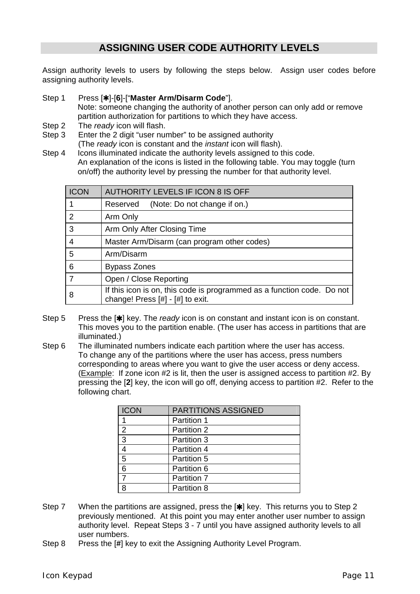## **ASSIGNING USER CODE AUTHORITY LEVELS**

<span id="page-10-0"></span>Assign authority levels to users by following the steps below. Assign user codes before assigning authority levels.

Step 1 Press [\*]-[6]-["Master Arm/Disarm Code"].

Note: someone changing the authority of another person can only add or remove partition authorization for partitions to which they have access.

- Step 2 The *ready* icon will flash.
- Step 3 Enter the 2 digit "user number" to be assigned authority (The *ready* icon is constant and the *instant* icon will flash).
- Step 4 Icons illuminated indicate the authority levels assigned to this code. An explanation of the icons is listed in the following table. You may toggle (turn on/off) the authority level by pressing the number for that authority level.

| <b>ICON</b> | <b>AUTHORITY LEVELS IF ICON 8 IS OFF</b>                                                                       |
|-------------|----------------------------------------------------------------------------------------------------------------|
|             | (Note: Do not change if on.)<br>Reserved                                                                       |
| 2           | Arm Only                                                                                                       |
| 3           | Arm Only After Closing Time                                                                                    |
| 4           | Master Arm/Disarm (can program other codes)                                                                    |
| 5           | Arm/Disarm                                                                                                     |
| 6           | <b>Bypass Zones</b>                                                                                            |
|             | Open / Close Reporting                                                                                         |
| 8           | If this icon is on, this code is programmed as a function code. Do not<br>change! Press $[#]$ - $[#]$ to exit. |

- Step 5 Press the [<sup>\*</sup>] key. The *ready* icon is on constant and instant icon is on constant. This moves you to the partition enable. (The user has access in partitions that are illuminated.)
- Step 6 The illuminated numbers indicate each partition where the user has access. To change any of the partitions where the user has access, press numbers corresponding to areas where you want to give the user access or deny access. (Example: If zone icon #2 is lit, then the user is assigned access to partition #2. By pressing the [**2**] key, the icon will go off, denying access to partition #2. Refer to the following chart.

| <b>ICON</b>    | <b>PARTITIONS ASSIGNED</b> |
|----------------|----------------------------|
|                | Partition 1                |
| $\overline{2}$ | Partition 2                |
| 3              | Partition 3                |
|                | Partition 4                |
| 5              | Partition 5                |
| 6              | Partition 6                |
|                | Partition 7                |
|                | Partition 8                |

- Step 7 When the partitions are assigned, press the [ $\parallel$ ] key. This returns you to Step 2 previously mentioned. At this point you may enter another user number to assign authority level. Repeat Steps 3 - 7 until you have assigned authority levels to all user numbers.
- Step 8 Press the [**#**] key to exit the Assigning Authority Level Program.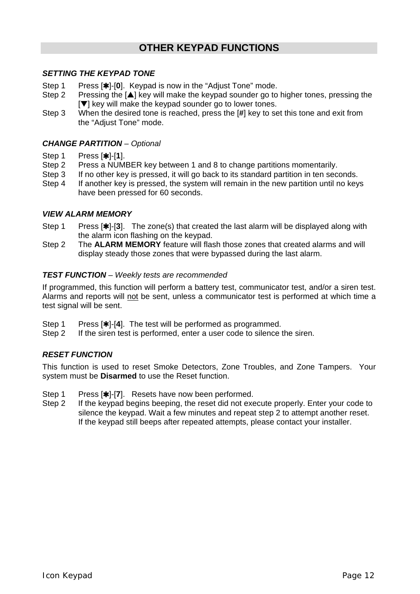## **OTHER KEYPAD FUNCTIONS**

## <span id="page-11-0"></span>*SETTING THE KEYPAD TONE*

- Step 1 Press [**\***]-[0]. Keypad is now in the "Adjust Tone" mode.<br>Step 2 Pressing the [A] key will make the keypad sounder go to
- Pressing the [ $\blacktriangle$ ] key will make the keypad sounder go to higher tones, pressing the  $[\nabla]$  key will make the keypad sounder go to lower tones.
- Step 3 When the desired tone is reached, press the [**#**] key to set this tone and exit from the "Adjust Tone" mode.

## *CHANGE PARTITION – Optional*

- Step 1 Press [**\***]-[1].<br>Step 2 Press a NUM
- Press a NUMBER key between 1 and 8 to change partitions momentarily.
- Step 3 If no other key is pressed, it will go back to its standard partition in ten seconds.
- Step 4 If another key is pressed, the system will remain in the new partition until no keys have been pressed for 60 seconds.

## *VIEW ALARM MEMORY*

- Step 1 Press [\*]-[3]. The zone(s) that created the last alarm will be displayed along with the alarm icon flashing on the keypad.
- Step 2 The **ALARM MEMORY** feature will flash those zones that created alarms and will display steady those zones that were bypassed during the last alarm.

#### *TEST FUNCTION – Weekly tests are recommended*

If programmed, this function will perform a battery test, communicator test, and/or a siren test. Alarms and reports will not be sent, unless a communicator test is performed at which time a test signal will be sent.

- Step 1 Press [<sup>\*</sup>]-[4]. The test will be performed as programmed.
- Step 2 If the siren test is performed, enter a user code to silence the siren.

## *RESET FUNCTION*

This function is used to reset Smoke Detectors, Zone Troubles, and Zone Tampers. Your system must be **Disarmed** to use the Reset function.

- Step 1 Press [<sup>\*</sup>]-[7]. Resets have now been performed.
- Step 2 If the keypad begins beeping, the reset did not execute properly. Enter your code to silence the keypad. Wait a few minutes and repeat step 2 to attempt another reset. If the keypad still beeps after repeated attempts, please contact your installer.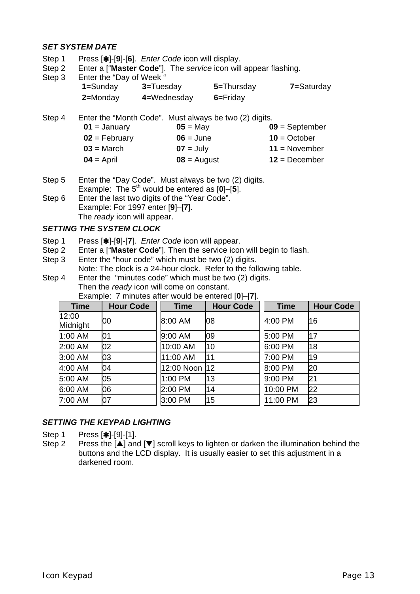## *SET SYSTEM DATE*

- Step 1 Press [\*]-[9]-[6]. *Enter Code* icon will display.
- Step 2 Enter a ["**Master Code**"]. The *service* icon will appear flashing.
- Step 3 Enter the "Day of Week"

<span id="page-12-0"></span>

| <b>SING THE DAY OF VIGOR</b> |                |              |            |
|------------------------------|----------------|--------------|------------|
| 1=Sunday                     | $3 = Tuesday$  | 5=Thursday   | 7=Saturday |
| 2=Monday                     | $4$ =Wednesday | $6 =$ Friday |            |

- Step 4 Enter the "Month Code". Must always be two (2) digits.  $01 =$  January  $05 =$  May  $09 =$  September  $02 = \text{February}$   $06 = \text{June}$   $10 = \text{October}$  $03$  = March **07** = July **11** = November  $04 =$  April  $08 =$  August  $12 =$  December
- Step 5 Enter the "Day Code". Must always be two (2) digits. Example: The  $5^{\text{th}}$  would be entered as  $[0]$ – $[5]$ . Step 6 Enter the last two digits of the "Year Code".
- Example: For 1997 enter [**9**]–[**7**]. The *ready* icon will appear.

### *SETTING THE SYSTEM CLOCK*

- Step 1 Press [<sup>\*</sup>]-[9]-[7]. *Enter Code* icon will appear.
- Step 2 Enter a ["**Master Code**"]. Then the service icon will begin to flash.<br>Step 3 Enter the "hour code" which must be two (2) digits.
- Enter the "hour code" which must be two (2) digits. Note: The clock is a 24-hour clock. Refer to the following table.
- Step 4 Enter the "minutes code" which must be two (2) digits. Then the *ready* icon will come on constant. Example: 7 minutes after would be entered [**0**]–[**7**].

| <b>Time</b>       | <b>Hour Code</b> | <b>Time</b>   | <b>Hour Code</b> | <b>Time</b> | <b>Hour Code</b> |
|-------------------|------------------|---------------|------------------|-------------|------------------|
| 12:00<br>Midnight | 00               | 8:00 AM       | 08               | 4:00 PM     | 16               |
| 1:00 AM           | 01               | 9:00 AM       | 09               | 5:00 PM     | 17               |
| 2:00 AM           | 02               | 10:00 AM      | 10               | 6:00 PM     | 18               |
| 3:00 AM           | 03               | 11:00 AM      | 11               | 7:00 PM     | 19               |
| 4:00 AM           | 04               | 12:00 Noon 12 |                  | 8:00 PM     | 20               |
| 5:00 AM           | 05               | 1:00 PM       | 13               | 9:00 PM     | 21               |
| 6:00 AM           | 06               | 2:00 PM       | 14               | 10:00 PM    | 22               |
| 7:00 AM           | 07               | 3:00 PM       | 15               | 11:00 PM    | 23               |

## *SETTING THE KEYPAD LIGHTING*

Step 1 Press [\*]-[9]-[1].

Step 2 Press the  $[\triangle]$  and  $[\triangledown]$  scroll keys to lighten or darken the illumination behind the buttons and the LCD display. It is usually easier to set this adjustment in a darkened room.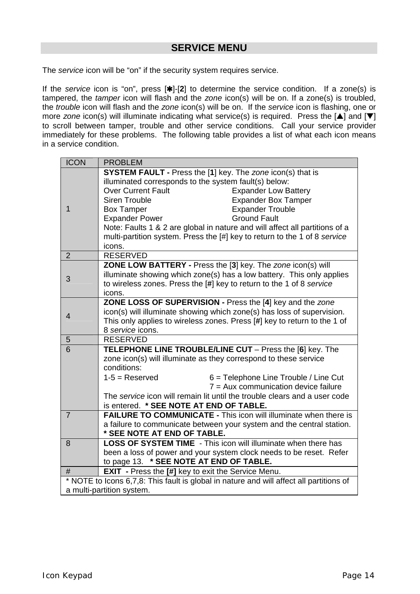## **SERVICE MENU**

<span id="page-13-0"></span>The *service* icon will be "on" if the security system requires service.

If the *service* icon is "on", press [\*]-[2] to determine the service condition. If a zone(s) is tampered, the *tamper* icon will flash and the *zone* icon(s) will be on. If a zone(s) is troubled, the *trouble* icon will flash and the *zone* icon(s) will be on. If the *service* icon is flashing, one or more *zone* icon(s) will illuminate indicating what service(s) is required. Press the  $[4]$  and  $[\nabla]$ to scroll between tamper, trouble and other service conditions. Call your service provider immediately for these problems. The following table provides a list of what each icon means in a service condition.

| <b>ICON</b>    | <b>PROBLEM</b>                                                                                                                                                                                                                                                     |  |  |
|----------------|--------------------------------------------------------------------------------------------------------------------------------------------------------------------------------------------------------------------------------------------------------------------|--|--|
|                | <b>SYSTEM FAULT - Press the [1] key. The zone icon(s) that is</b><br>illuminated corresponds to the system fault(s) below:<br>Over Current Fault<br><b>Expander Low Battery</b><br><b>Expander Box Tamper</b><br>Siren Trouble                                     |  |  |
| 1              | <b>Expander Trouble</b><br><b>Box Tamper</b><br><b>Expander Power</b><br><b>Ground Fault</b><br>Note: Faults 1 & 2 are global in nature and will affect all partitions of a<br>multi-partition system. Press the [#] key to return to the 1 of 8 service<br>icons. |  |  |
| $\overline{2}$ | <b>RESERVED</b>                                                                                                                                                                                                                                                    |  |  |
| 3              | ZONE LOW BATTERY - Press the [3] key. The zone icon(s) will<br>illuminate showing which zone(s) has a low battery. This only applies<br>to wireless zones. Press the [#] key to return to the 1 of 8 service<br>icons.                                             |  |  |
| 4              | ZONE LOSS OF SUPERVISION - Press the [4] key and the zone<br>icon(s) will illuminate showing which zone(s) has loss of supervision.<br>This only applies to wireless zones. Press [#] key to return to the 1 of<br>8 service icons.                                |  |  |
| 5              | <b>RESERVED</b>                                                                                                                                                                                                                                                    |  |  |
| 6              | <b>TELEPHONE LINE TROUBLE/LINE CUT</b> - Press the [6] key. The<br>zone icon(s) will illuminate as they correspond to these service<br>conditions:                                                                                                                 |  |  |
|                | $1-5 =$ Reserved<br>$6$ = Telephone Line Trouble / Line Cut<br>$7 = Aux$ communication device failure                                                                                                                                                              |  |  |
|                | The service icon will remain lit until the trouble clears and a user code<br>is entered. * SEE NOTE AT END OF TABLE.                                                                                                                                               |  |  |
| $\overline{7}$ | <b>FAILURE TO COMMUNICATE - This icon will illuminate when there is</b><br>a failure to communicate between your system and the central station.<br>* SEE NOTE AT END OF TABLE.                                                                                    |  |  |
| 8              | <b>LOSS OF SYSTEM TIME</b> - This icon will illuminate when there has<br>been a loss of power and your system clock needs to be reset. Refer<br>to page 13. * SEE NOTE AT END OF TABLE.                                                                            |  |  |
| #              | <b>EXIT</b> - Press the [#] key to exit the Service Menu.                                                                                                                                                                                                          |  |  |
|                | * NOTE to Icons 6,7,8: This fault is global in nature and will affect all partitions of                                                                                                                                                                            |  |  |
|                | a multi-partition system.                                                                                                                                                                                                                                          |  |  |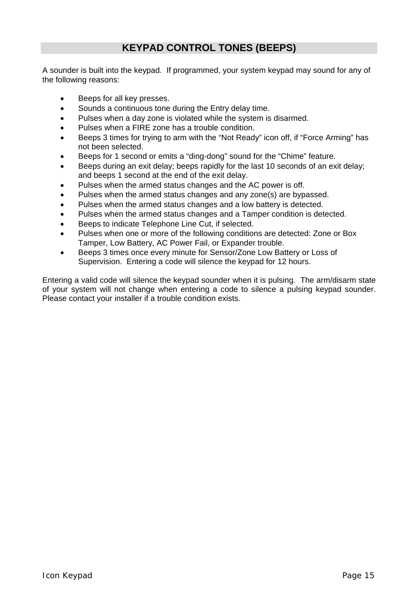## **KEYPAD CONTROL TONES (BEEPS)**

<span id="page-14-0"></span>A sounder is built into the keypad. If programmed, your system keypad may sound for any of the following reasons:

- Beeps for all key presses.
- Sounds a continuous tone during the Entry delay time.
- Pulses when a day zone is violated while the system is disarmed.
- Pulses when a FIRE zone has a trouble condition.
- Beeps 3 times for trying to arm with the "Not Ready" icon off, if "Force Arming" has not been selected.
- Beeps for 1 second or emits a "ding-dong" sound for the "Chime" feature.
- Beeps during an exit delay; beeps rapidly for the last 10 seconds of an exit delay; and beeps 1 second at the end of the exit delay.
- Pulses when the armed status changes and the AC power is off.
- Pulses when the armed status changes and any zone(s) are bypassed.
- Pulses when the armed status changes and a low battery is detected.
- Pulses when the armed status changes and a Tamper condition is detected.
- Beeps to indicate Telephone Line Cut, if selected.
- Pulses when one or more of the following conditions are detected: Zone or Box Tamper, Low Battery, AC Power Fail, or Expander trouble.
- Beeps 3 times once every minute for Sensor/Zone Low Battery or Loss of Supervision. Entering a code will silence the keypad for 12 hours.

Entering a valid code will silence the keypad sounder when it is pulsing. The arm/disarm state of your system will not change when entering a code to silence a pulsing keypad sounder. Please contact your installer if a trouble condition exists.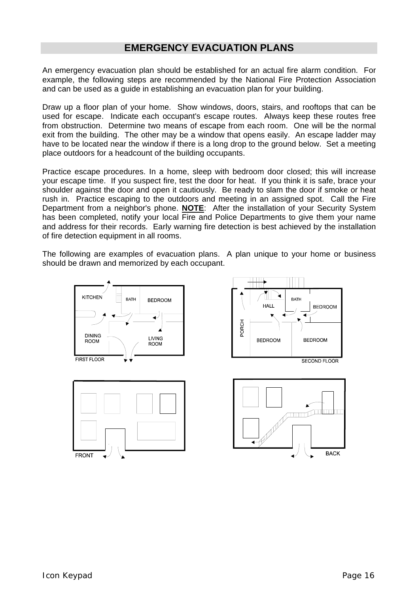## **EMERGENCY EVACUATION PLANS**

<span id="page-15-0"></span>An emergency evacuation plan should be established for an actual fire alarm condition. For example, the following steps are recommended by the National Fire Protection Association and can be used as a guide in establishing an evacuation plan for your building.

Draw up a floor plan of your home. Show windows, doors, stairs, and rooftops that can be used for escape. Indicate each occupant's escape routes. Always keep these routes free from obstruction. Determine two means of escape from each room. One will be the normal exit from the building. The other may be a window that opens easily. An escape ladder may have to be located near the window if there is a long drop to the ground below. Set a meeting place outdoors for a headcount of the building occupants.

Practice escape procedures. In a home, sleep with bedroom door closed; this will increase your escape time. If you suspect fire, test the door for heat. If you think it is safe, brace your shoulder against the door and open it cautiously. Be ready to slam the door if smoke or heat rush in. Practice escaping to the outdoors and meeting in an assigned spot. Call the Fire Department from a neighbor's phone. **NOTE**: After the installation of your Security System has been completed, notify your local Fire and Police Departments to give them your name and address for their records. Early warning fire detection is best achieved by the installation of fire detection equipment in all rooms.

The following are examples of evacuation plans. A plan unique to your home or business should be drawn and memorized by each occupant.







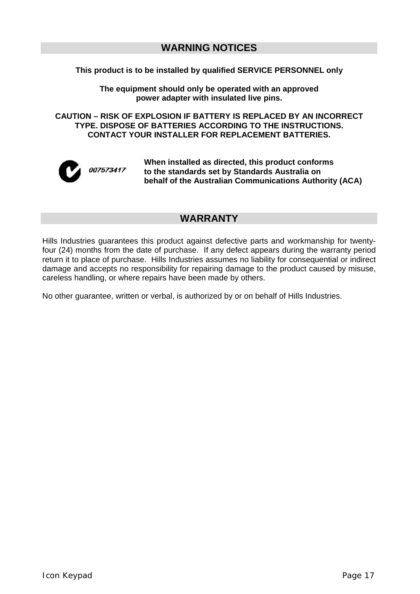## **WARNING NOTICES**

#### **This product is to be installed by qualified SERVICE PERSONNEL only**

**The equipment should only be operated with an approved power adapter with insulated live pins.** 

**CAUTION – RISK OF EXPLOSION IF BATTERY IS REPLACED BY AN INCORRECT TYPE. DISPOSE OF BATTERIES ACCORDING TO THE INSTRUCTIONS. CONTACT YOUR INSTALLER FOR REPLACEMENT BATTERIES.** 



**When installed as directed, this product conforms to the standards set by Standards Australia on behalf of the Australian Communications Authority (ACA)**

## **WARRANTY**

Hills Industries guarantees this product against defective parts and workmanship for twentyfour (24) months from the date of purchase. If any defect appears during the warranty period return it to place of purchase. Hills Industries assumes no liability for consequential or indirect damage and accepts no responsibility for repairing damage to the product caused by misuse, careless handling, or where repairs have been made by others.

No other guarantee, written or verbal, is authorized by or on behalf of Hills Industries.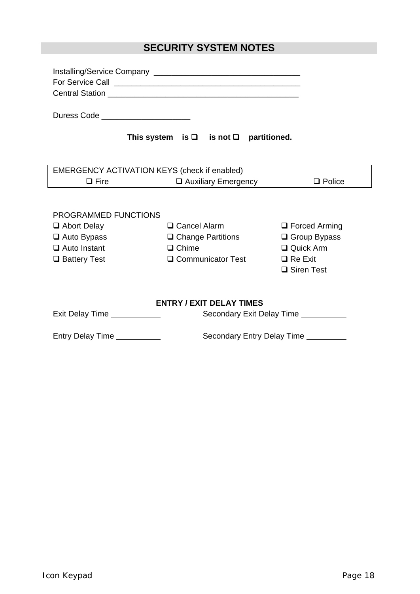# **SECURITY SYSTEM NOTES**

| Duress Code _________________________ |                                                                                      |                                      |  |  |
|---------------------------------------|--------------------------------------------------------------------------------------|--------------------------------------|--|--|
|                                       | This system is $\Box$ is not $\Box$ partitioned.                                     |                                      |  |  |
|                                       |                                                                                      |                                      |  |  |
| $\Box$ Fire $\Box$                    | EMERGENCY ACTIVATION KEYS (check if enabled)<br>Auxiliary Emergency<br>$\Box$ Police |                                      |  |  |
| PROGRAMMED FUNCTIONS                  |                                                                                      |                                      |  |  |
| Abort Delay                           | □ Cancel Alarm                                                                       | $\Box$ Forced Arming                 |  |  |
| $\Box$ Auto Bypass                    | $\Box$ Change Partitions                                                             | $\Box$ Group Bypass                  |  |  |
| $\Box$ Auto Instant                   | $\Box$ Chime<br>$\Box$ Quick Arm                                                     |                                      |  |  |
| □ Battery Test                        | $\Box$ Communicator Test<br>$\Box$ Re Exit                                           |                                      |  |  |
|                                       |                                                                                      | □ Siren Test                         |  |  |
| <b>ENTRY / EXIT DELAY TIMES</b>       |                                                                                      |                                      |  |  |
| Exit Delay Time ____________          |                                                                                      | Secondary Exit Delay Time __________ |  |  |
| Entry Delay Time __________           |                                                                                      | Secondary Entry Delay Time _________ |  |  |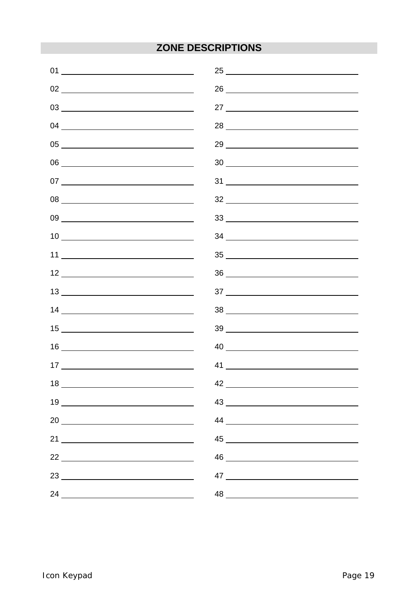# **ZONE DESCRIPTIONS**

| 01                                                                                                                                                                                                                                                                                                                                                                                          | 25                                                                                               |
|---------------------------------------------------------------------------------------------------------------------------------------------------------------------------------------------------------------------------------------------------------------------------------------------------------------------------------------------------------------------------------------------|--------------------------------------------------------------------------------------------------|
|                                                                                                                                                                                                                                                                                                                                                                                             |                                                                                                  |
| $\begin{picture}(180,10) \put(0,0){\vector(1,0){100}} \put(15,0){\vector(1,0){100}} \put(15,0){\vector(1,0){100}} \put(15,0){\vector(1,0){100}} \put(15,0){\vector(1,0){100}} \put(15,0){\vector(1,0){100}} \put(15,0){\vector(1,0){100}} \put(15,0){\vector(1,0){100}} \put(15,0){\vector(1,0){100}} \put(15,0){\vector(1,0){100}} \put(15,0){\vector(1,0){100}}$                          |                                                                                                  |
|                                                                                                                                                                                                                                                                                                                                                                                             |                                                                                                  |
|                                                                                                                                                                                                                                                                                                                                                                                             |                                                                                                  |
|                                                                                                                                                                                                                                                                                                                                                                                             | $30 \underline{\hspace{1cm}}$                                                                    |
|                                                                                                                                                                                                                                                                                                                                                                                             | $31$ $\overline{\phantom{a}}$                                                                    |
| $\begin{picture}(180,10) \put(0,0){\dashbox{0.5}(10,0){ }} \put(10,0){\circle{10}} \put(10,0){\circle{10}} \put(10,0){\circle{10}} \put(10,0){\circle{10}} \put(10,0){\circle{10}} \put(10,0){\circle{10}} \put(10,0){\circle{10}} \put(10,0){\circle{10}} \put(10,0){\circle{10}} \put(10,0){\circle{10}} \put(10,0){\circle{10}} \put(10,0){\circle{10}} \put(10,0){\circle{10}} \put(10$ |                                                                                                  |
|                                                                                                                                                                                                                                                                                                                                                                                             | $\begin{array}{c c c c c c} \hline \text{33} & \text{---} & \text{---} & \text{---} \end{array}$ |
| $\begin{array}{c} \n 10 \end{array}$                                                                                                                                                                                                                                                                                                                                                        |                                                                                                  |
|                                                                                                                                                                                                                                                                                                                                                                                             |                                                                                                  |
|                                                                                                                                                                                                                                                                                                                                                                                             |                                                                                                  |
| $13 \overline{\phantom{a}0}$                                                                                                                                                                                                                                                                                                                                                                |                                                                                                  |
|                                                                                                                                                                                                                                                                                                                                                                                             |                                                                                                  |
|                                                                                                                                                                                                                                                                                                                                                                                             |                                                                                                  |
|                                                                                                                                                                                                                                                                                                                                                                                             |                                                                                                  |
| $\begin{array}{c} \n \text{17} \end{array}$                                                                                                                                                                                                                                                                                                                                                 |                                                                                                  |
|                                                                                                                                                                                                                                                                                                                                                                                             |                                                                                                  |
|                                                                                                                                                                                                                                                                                                                                                                                             |                                                                                                  |
| $20 \begin{tabular}{l} \hline \rule{0.2cm}{0.1cm} \rule{0.2cm}{0.1cm} \rule{0.2cm}{0.1cm} \rule{0.2cm}{0.1cm} \rule{0.2cm}{0.1cm} \rule{0.2cm}{0.1cm} \rule{0.2cm}{0.1cm} \rule{0.2cm}{0.1cm} \rule{0.2cm}{0.1cm} \rule{0.2cm}{0.1cm} \rule{0.2cm}{0.1cm} \rule{0.2cm}{0.1cm} \rule{0.2cm}{0.1cm} \rule{0.2cm}{0.1cm} \rule{0.2cm}{0.1cm} \rule{0.2cm}{0.1cm$                               |                                                                                                  |
|                                                                                                                                                                                                                                                                                                                                                                                             |                                                                                                  |
|                                                                                                                                                                                                                                                                                                                                                                                             | 46                                                                                               |
|                                                                                                                                                                                                                                                                                                                                                                                             | 47 $\qquad \qquad$                                                                               |
| 24                                                                                                                                                                                                                                                                                                                                                                                          | 48                                                                                               |